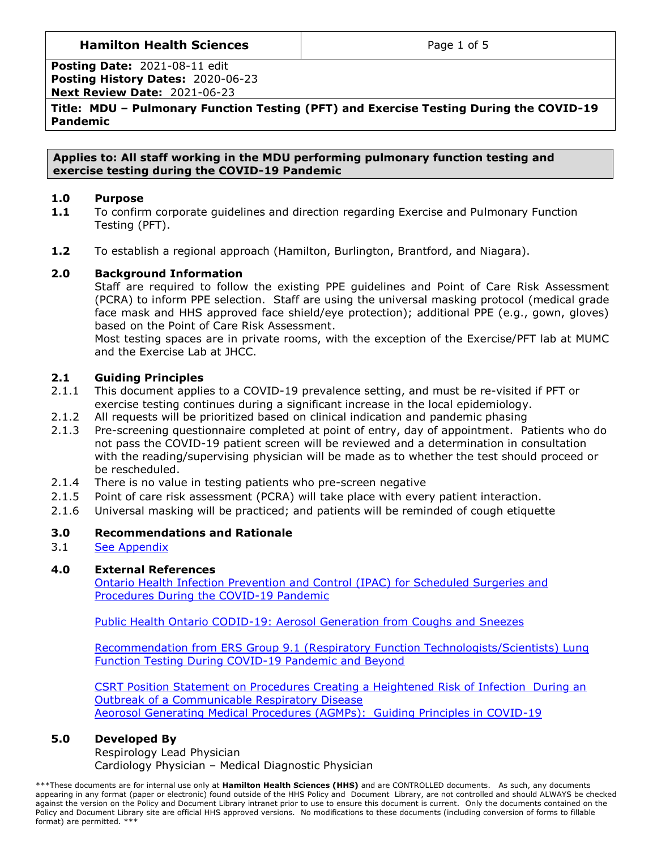# **Hamilton Health Sciences**  $\qquad$  **Page 1 of 5**

**Posting Date:** 2021-08-11 edit **Posting History Dates:** 2020-06-23 **Next Review Date:** 2021-06-23

**Title: MDU – Pulmonary Function Testing (PFT) and Exercise Testing During the COVID-19 Pandemic**

**Applies to: All staff working in the MDU performing pulmonary function testing and exercise testing during the COVID-19 Pandemic**

### **1.0 Purpose**

- **1.1** To confirm corporate guidelines and direction regarding Exercise and Pulmonary Function Testing (PFT).
- **1.2** To establish a regional approach (Hamilton, Burlington, Brantford, and Niagara).

## **2.0 Background Information**

Staff are required to follow the existing PPE guidelines and Point of Care Risk Assessment (PCRA) to inform PPE selection. Staff are using the universal masking protocol (medical grade face mask and HHS approved face shield/eye protection); additional PPE (e.g., gown, gloves) based on the Point of Care Risk Assessment.

Most testing spaces are in private rooms, with the exception of the Exercise/PFT lab at MUMC and the Exercise Lab at JHCC.

## **2.1 Guiding Principles**

- 2.1.1 This document applies to a COVID-19 prevalence setting, and must be re-visited if PFT or exercise testing continues during a significant increase in the local epidemiology.
- 2.1.2 All requests will be prioritized based on clinical indication and pandemic phasing
- 2.1.3 Pre-screening questionnaire completed at point of entry, day of appointment. Patients who do not pass the COVID-19 patient screen will be reviewed and a determination in consultation with the reading/supervising physician will be made as to whether the test should proceed or be rescheduled.
- 2.1.4 There is no value in testing patients who pre-screen negative
- 2.1.5 Point of care risk assessment (PCRA) will take place with every patient interaction.
- 2.1.6 Universal masking will be practiced; and patients will be reminded of cough etiquette

# **3.0 Recommendations and Rationale**

3.1 [See Appendix](#page-2-0)

## **4.0 External References**

[Ontario Health Infection Prevention and Control \(IPAC\) for Scheduled Surgeries and](https://www.ontariohealth.ca/sites/ontariohealth/files/2020-06/COVID-19%20Infection%20Prevention%20and%20Control%20for%20Scheduled%20Surgeries%20and%20Procedures_8June2020.pdf)  [Procedures During the COVID-19 Pandemic](https://www.ontariohealth.ca/sites/ontariohealth/files/2020-06/COVID-19%20Infection%20Prevention%20and%20Control%20for%20Scheduled%20Surgeries%20and%20Procedures_8June2020.pdf)

[Public Health Ontario CODID-19: Aerosol Generation from Coughs and](https://www.publichealthontario.ca/-/media/documents/ncov/ipac/report-covid-19-aerosol-generation-coughs-sneezes.pdf?la=en) Sneezes

[Recommendation from ERS Group 9.1 \(Respiratory Function Technologists/Scientists\) Lung](https://ers.app.box.com/s/zs1uu88wy51monr0ewd990itoz4tsn2h)  Function Testing [During COVID-19 Pandemic and Beyond](https://ers.app.box.com/s/zs1uu88wy51monr0ewd990itoz4tsn2h)

[CSRT Position Statement on Procedures Creating a Heightened Risk of Infection During an](https://www.csrt.com/wp-content/uploads/CSRT-Procedures-Duringan-Outbreak-April-2020-v2.pdf)  [Outbreak of a Communicable Respiratory Disease](https://www.csrt.com/wp-content/uploads/CSRT-Procedures-Duringan-Outbreak-April-2020-v2.pdf) [Aeorosol Generating Medical Procedures \(AGMPs\): Guiding Principles in COVID-19](https://hub.hhsc.ca/news-events/COVID-19/Documents/AGMP%20summary%20and%20PPE%20document%20apr%203.pdf#search=AGMP)

#### **5.0 Developed By**

Respirology Lead Physician Cardiology Physician – Medical Diagnostic Physician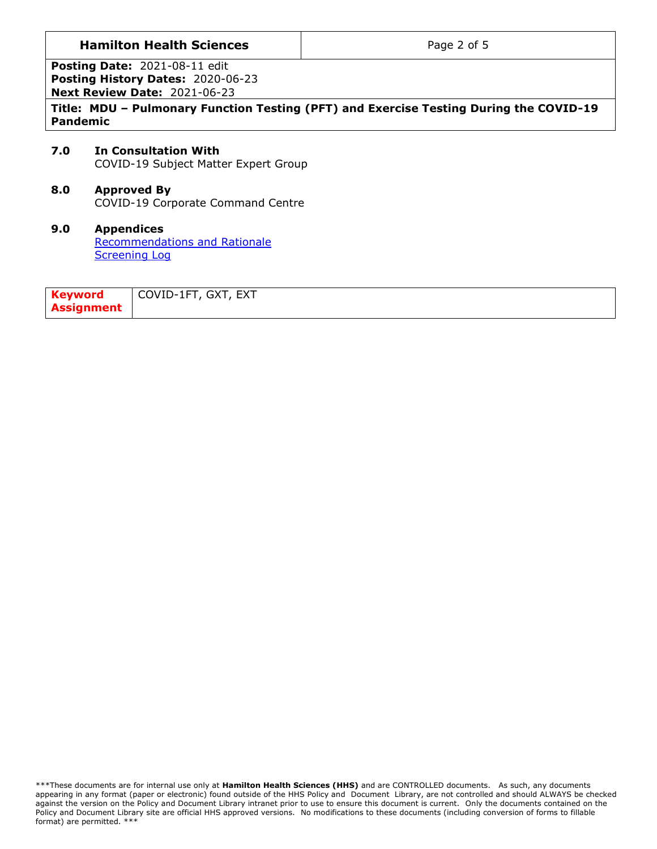## **Hamilton Health Sciences Page 2 of 5**

**Posting Date:** 2021-08-11 edit **Posting History Dates:** 2020-06-23 **Next Review Date:** 2021-06-23

**Title: MDU – Pulmonary Function Testing (PFT) and Exercise Testing During the COVID-19 Pandemic**

#### **7.0 In Consultation With** COVID-19 Subject Matter Expert Group

**8.0 Approved By**

COVID-19 Corporate Command Centre

#### **9.0 Appendices** [Recommendations and Rationale](#page-2-0) [Screening Log](#page-4-0)

| Keyword           | COVID-1FT, GXT, EXT |
|-------------------|---------------------|
| <b>Assignment</b> |                     |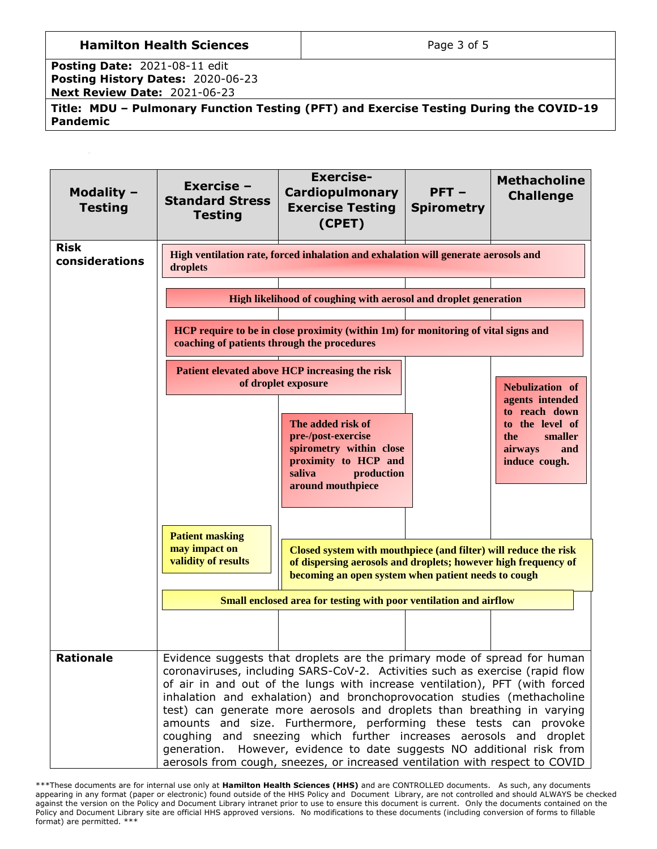# **Hamilton Health Sciences Page 3 of 5**

**Posting Date:** 2021-08-11 edit **Posting History Dates:** 2020-06-23 **Next Review Date:** 2021-06-23

**Title: MDU – Pulmonary Function Testing (PFT) and Exercise Testing During the COVID-19 Pandemic**

<span id="page-2-0"></span>

| Modality $-$<br><b>Testing</b> | Exercise -<br><b>Standard Stress</b><br><b>Testing</b>                                                                                                                                                                                                                                                                                                                                                                                                                                                                                                                                                                                                                                             | <b>Exercise-</b><br><b>Cardiopulmonary</b><br><b>Exercise Testing</b><br>(CPET)                                                                                                          | $PFT -$<br><b>Spirometry</b> | <b>Methacholine</b><br><b>Challenge</b>                                               |
|--------------------------------|----------------------------------------------------------------------------------------------------------------------------------------------------------------------------------------------------------------------------------------------------------------------------------------------------------------------------------------------------------------------------------------------------------------------------------------------------------------------------------------------------------------------------------------------------------------------------------------------------------------------------------------------------------------------------------------------------|------------------------------------------------------------------------------------------------------------------------------------------------------------------------------------------|------------------------------|---------------------------------------------------------------------------------------|
| <b>Risk</b><br>considerations  | High ventilation rate, forced inhalation and exhalation will generate aerosols and<br>droplets                                                                                                                                                                                                                                                                                                                                                                                                                                                                                                                                                                                                     |                                                                                                                                                                                          |                              |                                                                                       |
|                                |                                                                                                                                                                                                                                                                                                                                                                                                                                                                                                                                                                                                                                                                                                    | High likelihood of coughing with aerosol and droplet generation                                                                                                                          |                              |                                                                                       |
|                                | coaching of patients through the procedures                                                                                                                                                                                                                                                                                                                                                                                                                                                                                                                                                                                                                                                        | HCP require to be in close proximity (within 1m) for monitoring of vital signs and                                                                                                       |                              |                                                                                       |
|                                |                                                                                                                                                                                                                                                                                                                                                                                                                                                                                                                                                                                                                                                                                                    | Patient elevated above HCP increasing the risk<br>of droplet exposure                                                                                                                    |                              | Nebulization of<br>agents intended                                                    |
|                                |                                                                                                                                                                                                                                                                                                                                                                                                                                                                                                                                                                                                                                                                                                    | The added risk of<br>pre-/post-exercise<br>spirometry within close<br>proximity to HCP and<br>saliva<br>production<br>around mouthpiece                                                  |                              | to reach down<br>to the level of<br>smaller<br>the<br>airways<br>and<br>induce cough. |
|                                | <b>Patient masking</b><br>may impact on<br>validity of results                                                                                                                                                                                                                                                                                                                                                                                                                                                                                                                                                                                                                                     | Closed system with mouthpiece (and filter) will reduce the risk<br>of dispersing aerosols and droplets; however high frequency of<br>becoming an open system when patient needs to cough |                              |                                                                                       |
|                                |                                                                                                                                                                                                                                                                                                                                                                                                                                                                                                                                                                                                                                                                                                    | Small enclosed area for testing with poor ventilation and airflow                                                                                                                        |                              |                                                                                       |
|                                |                                                                                                                                                                                                                                                                                                                                                                                                                                                                                                                                                                                                                                                                                                    |                                                                                                                                                                                          |                              |                                                                                       |
| <b>Rationale</b>               | Evidence suggests that droplets are the primary mode of spread for human<br>coronaviruses, including SARS-CoV-2. Activities such as exercise (rapid flow<br>of air in and out of the lungs with increase ventilation), PFT (with forced<br>inhalation and exhalation) and bronchoprovocation studies (methacholine<br>test) can generate more aerosols and droplets than breathing in varying<br>amounts and size. Furthermore, performing these tests can provoke<br>coughing and sneezing which further increases aerosols and droplet<br>generation. However, evidence to date suggests NO additional risk from<br>aerosols from cough, sneezes, or increased ventilation with respect to COVID |                                                                                                                                                                                          |                              |                                                                                       |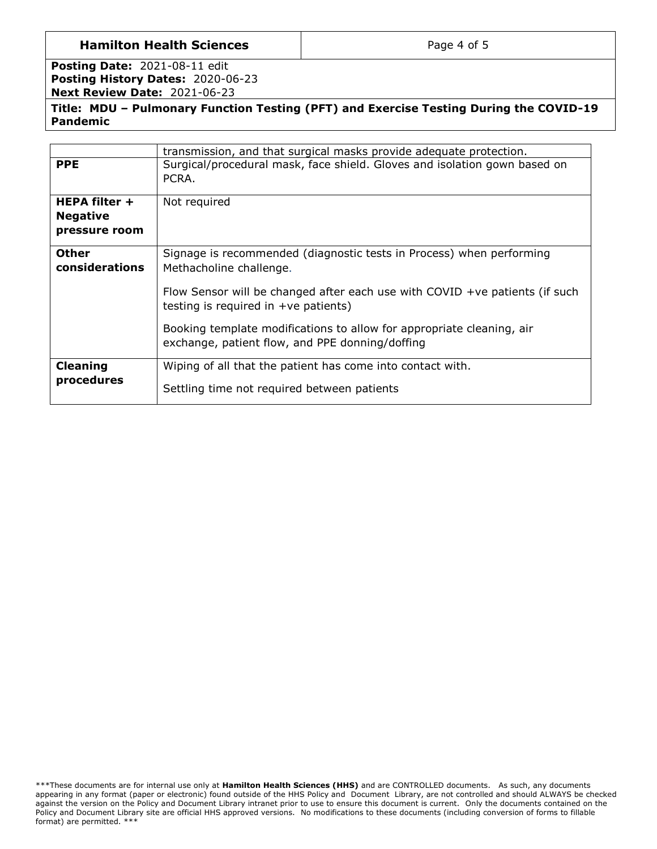## **Hamilton Health Sciences Page 4 of 5**

**Posting Date:** 2021-08-11 edit **Posting History Dates:** 2020-06-23 **Next Review Date:** 2021-06-23

**Title: MDU – Pulmonary Function Testing (PFT) and Exercise Testing During the COVID-19 Pandemic**

|                                                                               | transmission, and that surgical masks provide adequate protection.                                                       |
|-------------------------------------------------------------------------------|--------------------------------------------------------------------------------------------------------------------------|
| <b>PPE</b>                                                                    | Surgical/procedural mask, face shield. Gloves and isolation gown based on<br>PCRA.                                       |
| <b>HEPA filter +</b><br><b>Negative</b><br>pressure room                      | Not required                                                                                                             |
| <b>Other</b><br>considerations                                                | Signage is recommended (diagnostic tests in Process) when performing<br>Methacholine challenge.                          |
|                                                                               | Flow Sensor will be changed after each use with COVID $+ve$ patients (if such<br>testing is required in $+ve$ patients)  |
|                                                                               | Booking template modifications to allow for appropriate cleaning, air<br>exchange, patient flow, and PPE donning/doffing |
| <b>Cleaning</b><br>Wiping of all that the patient has come into contact with. |                                                                                                                          |
|                                                                               |                                                                                                                          |
| procedures                                                                    | Settling time not required between patients                                                                              |